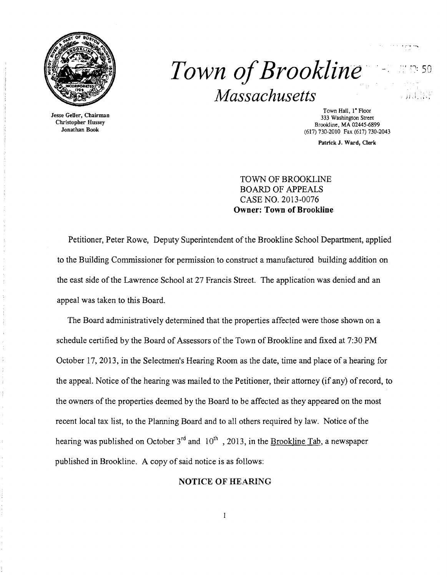

Jesse Geller, Chairman Christopher Hussey Jonathan Book

# *Town ofBrookline· Massachusetts*

Town Hall, I" Floor 333 Washington Street Brookline. MA 02445-6899 (617) 730-2010 Fax (617) 730-2043

Patrick J. Ward, Clerk

TOWN OF BROOKLINE BOARD OF APPEALS CASE NO. 2013-0076 Owner: Town of Brookline

Petitioner, Peter Rowe, Deputy Superintendent of the Brookline School Department, applied to the Building Commissioner for permission to construct a manufactured building addition on the east side of the Lawrence School at 27 Francis Street. The application was denied and an appeal was taken to this Board.

The Board administratively detennined that the properties affected were those shown on a schedule certified by the Board of Assessors of the Town of Brookline and fixed at 7:30 PM October 17,2013, in the Selectmen's Hearing Room as the date, time and place of a hearing for the appeal. Notice ofthe hearing was mailed to the Petitioner, their attorney (if any) ofrecord, to the owners of the properties deemed by the Board to be affected as they appeared on the most recent local tax list, to the Planning Board and to all others required by law. Notice of the hearing was published on October  $3^{rd}$  and  $10^{th}$ , 2013, in the Brookline Tab, a newspaper published in Brookline. A copy of said notice is as follows:

## NOTICE OF HEARING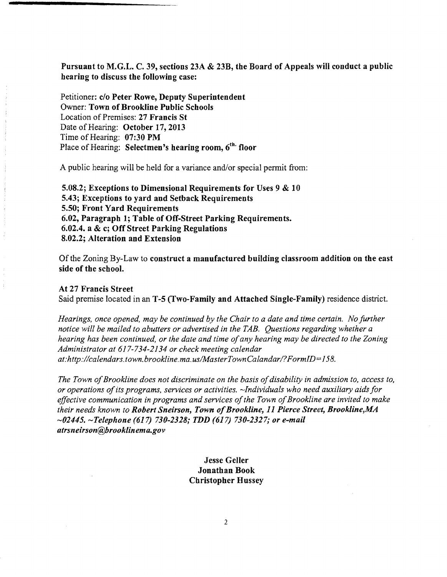Pursuant to M.G.L. C. 39, sections 23A & 23B, the Board of Appeals will conduct a public hearing to discuss the following case:

Petitioner: c/o Peter Rowe, Deputy Superintendent Owner: Town of Brookline Public Schools Location of Premises: 27 Francis St Date of Hearing: October 17, 2013 Time of Hearing: 07:30 PM Place of Hearing: Selectmen's hearing room, 6<sup>th</sup> floor

A public hearing will be held for a variance and/or special permit from:

5.08.2; Exceptions to Dimensional Requirements for Uses 9 & 10 5.43; Exceptions to yard and Setback Requirements 5.50; Front Yard Requirements 6.02, Paragraph 1; Table of Off-Street Parking Requirements. 6.02.4. a & c; Off Street Parking Regulations 8.02.2; Alteration and Extension

Of the Zoning By-Law to construct a manufactured building classroom addition on the east side of the school.

At 27 Francis Street Said premise located in an T-5 (Two-Family and Attached Single-Family) residence district.

*Hearings, once opened, may be continued by the Chair to a date and time certain. No further notice will be mailed to abutters or advertised in the TAB. Questions regarding whether a hearing has been continued, or the date and time ofany hearing may be directed to the Zoning Administrator at* 617-734-2134 *or check meeting calendar at:http://calendars.town.brookline.ma.usIMasterTownCalandarl? FormID= 158.* 

The Town of Brookline does not discriminate on the basis of disability in admission to, access to, *or operations ofits programs, services or activities. -Individuals who need auxiliary aids for*  effective communication in programs and services of the Town of Brookline are invited to make *their needs known to Robert Sneirson, Town ofBrookline,* 11 *Pierce Street, Brookline,MA*  ~02445. ~Telephone (617) *730-2328; TDD* (617) *730-2327; or e-mail atrsneirson@brooklinema.gov* 

> Jesse Geller Jonathan Book Christopher Hussey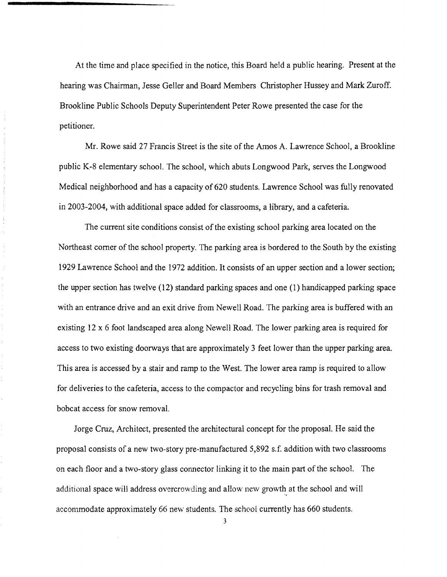At the time and place specified in the notice, this Board held a public hearing. Present at the hearing was Chairman, Jesse Geller and Board Members Christopher Hussey and Mark Zuroff. Brookline Public Schools Deputy Superintendent Peter Rowe presented the case for the petitioner.

Mr. Rowe said 27 Francis Street is the site of the Amos A. Lawrence School, a Brookline public K-8 elementary school. The school, which abuts Longwood Park, serves the Longwood Medical neighborhood and has a capacity of 620 students. Lawrence School was fully renovated in 2003-2004, with additional space added for classrooms, a library, and a cafeteria.

 $\frac{1}{2} \left( \frac{1}{2} \right) \left( \frac{1}{2} \right)$ 

 $\frac{1}{\lambda}$ ł

> The current site conditions consist of the existing school parking area located on the Northeast comer of the school property. The parking area is bordered to the South by the existing 1929 Lawrence School and the 1972 addition. It consists of an upper section and a lower section; the upper section has twelve (12) standard parking spaces and one (1) handicapped parking space with an entrance drive and an exit drive from Newell Road. The parking area is buffered with an existing 12 x 6 foot landscaped area along Newell Road. The lower parking area is required for access to two existing doorways that are approximately 3 feet lower than the upper parking area. This area is accessed by a stair and ramp to the West. The lower area ramp is required to allow for deliveries to the cafeteria, access to the compactor and recycling bins for trash removal and bobcat access for snow removal.

Jorge Cruz, Architect, presented the architectural concept for the proposal. He said the proposal consists of a new two-story pre-manufactured 5,892 s.f. addition with two classrooms on each floor and a two-story glass connector linking it to the main part of the school. The additional space will address overcrowding and allow new growth at the school and will accommodate approximaiely 66 new students. The school currently has 660 students.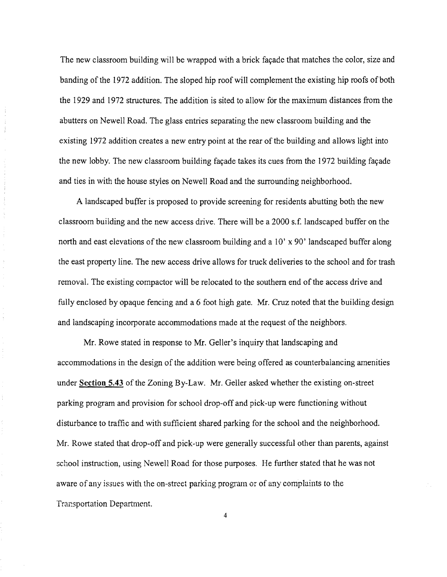The new classroom building will be wrapped with a brick facade that matches the color, size and banding of the 1972 addition. The sloped hip roof will complement the existing hip roofs of both the 1929 and 1972 structures. The addition is sited to allow for the maximum distances from the abutters on Newell Road. The glass entries separating the new classroom building and the existing 1972 addition creates a new entry point at the rear of the building and allows light into the new lobby. The new classroom building fayade takes its cues from the 1972 building fayade and ties in with the house styles on Newell Road and the surrounding neighborhood.

 $\label{eq:1} \frac{1}{2} \left( \frac{1}{2} \right) \left( \frac{1}{2} \right) \left( \frac{1}{2} \right) \left( \frac{1}{2} \right) \left( \frac{1}{2} \right)$ 

 $\frac{1}{2}$ 

 $\label{eq:2.1} \begin{split} \mathcal{L}_{\text{c}}(\mathcal{L}_{\text{c}}(\mathcal{L}_{\text{c}}(\mathcal{L}_{\text{c}}(\mathcal{L}_{\text{c}}(\mathcal{L}_{\text{c}}(\mathcal{L}_{\text{c}}(\mathcal{L}_{\text{c}}(\mathcal{L}_{\text{c}}(\mathcal{L}_{\text{c}}(\mathcal{L}_{\text{c}}(\mathcal{L}_{\text{c}}(\mathcal{L}_{\text{c}}(\mathcal{L}_{\text{c}}(\mathcal{L}_{\text{c}}(\mathcal{L}_{\text{c}}(\mathcal{L}_{\text{c}}(\mathcal{L}_{\text{c}}(\mathcal{L}_{\text$ 

 $\frac{1}{4}$ 

 $\bar{\gamma}$ 

 $\hat{\mathbf{v}}$ 

÷

A landscaped buffer is proposed to provide screening for residents abutting both the new classroom building and the new access drive. There will be a 2000 s.t: landscaped buffer on the north and east elevations of the new classroom building and a 10' x 90' landscaped buffer along the east property line. The new access drive allows for truck deliveries to the school and for trash removal. The existing compactor will be relocated to the southern end ofthe access drive and fully enclosed by opaque fencing and a 6 foot high gate. Mr. Cruz noted that the building design and landscaping incorporate accommodations made at the request of the neighbors.

Mr. Rowe stated in response to Mr. Geller's inquiry that landscaping and accommodations in the design of the addition were being offered as counterbalancing amenities under **Section 5.43** of the Zoning By-Law. Mr. Geller asked whether the existing on-street parking program and provision for school drop-off and pick-up were functioning without disturbance to traffic and with sufficient shared parking for the school and the neighborhood. Mr. Rowe stated that drop-off and pick-up were generally successful other than parents, against school instruction, using Newell Road for those purposes. He further stated that he was not aware of any issues with the on-street parking program or of any complaints to the Trar:sportation Department.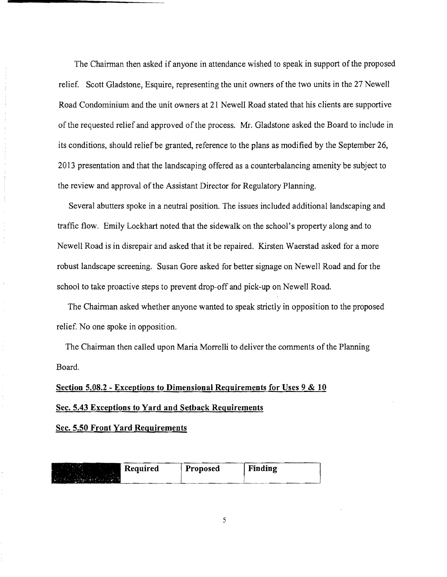The Chairman then asked if anyone in attendance wished to speak in support of the proposed relief. Scott Gladstone, Esquire, representing the unit owners of the two units in the 27 Newell Road Condominium and the unit owners at 21 Newell Road stated that his clients are supportive of the requested relief and approved of the process. Mr. Gladstone asked the Board to include in its conditions, should relief be granted, reference to the plans as modified by the September 26, 2013 presentation and that the landscaping offered as a counterbalancing amenity be subject to the review and approval of the Assistant Director for Regulatory Planning.

Several abutters spoke in a neutral position. The issues included additional landscaping and traffic flow. Emily Lockhart noted that the sidewalk on the school's property along and to Newell Road is in disrepair and asked that it be repaired. Kirsten Waerstad asked for a more robust landscape screening. Susan Gore asked for better signage on Newell Road and for the school to take proactive steps to prevent drop-off and pick-up on Newell Road.

The Chairman asked whether anyone wanted to speak strictly in opposition to the proposed relief. No one spoke in opposition.

The Chairman then called upon Maria Morrelli to deliver the comments of the Planning Board.

# **Section 5.08.2 - Exceptions to Dimensional Requirements for Uses 9 & 10 Sec. 5.43 Exceptions to Yard and Setback Reguirements**

**Sec. 5.50 Front Yard Reguirements** 

 $\frac{1}{2}$ 

| Required | <b>Proposed</b> | Finding |
|----------|-----------------|---------|
|          |                 |         |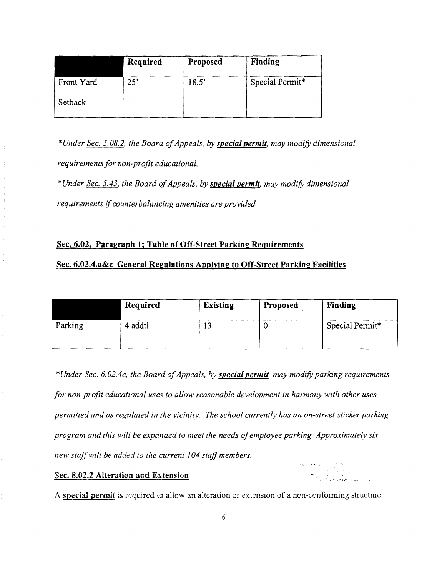|            | Required | Proposed | Finding         |
|------------|----------|----------|-----------------|
| Front Yard | 25'      | 18.5'    | Special Permit* |
| Setback    |          |          |                 |

\*Under <u>Sec. 5.08.2</u>, the Board of Appeals, by **special permit**, may modify dimensional *requirements for non-profit educational.* 

\*Under <u>Sec. 5.43</u>, the Board of Appeals, by special permit, may modify dimensional *requirements* if*counterbalancing amenities are prOVided.* 

# Sec. 6.02, Paragraph 1; Table of Off-Street Parking Requirements

## Sec. 6.02.4.a&c General Regulations Applying to Off-Street Parking Facilities

|         | Required | <b>Existing</b> | Proposed | Finding         |
|---------|----------|-----------------|----------|-----------------|
| Parking | 4 addtl. |                 |          | Special Permit* |

*\*Under Sec. 6.02.4c, the Board ofAppeals, by special permit, may modifY parking requirements for non-profit educational uses to allow reasonable development in harmony with other uses permitted and as regulated in the vicinity. The school currently has an on-street sticker parking program and this will be expanded to meet the needs ofemployee parking. Approximately six new staff will be added to the current 104 staff members.* 

#### Sec. 8.02.2 Alteration and Extension

A special permit is required to allow an alteration or extension of a non-conforming structure.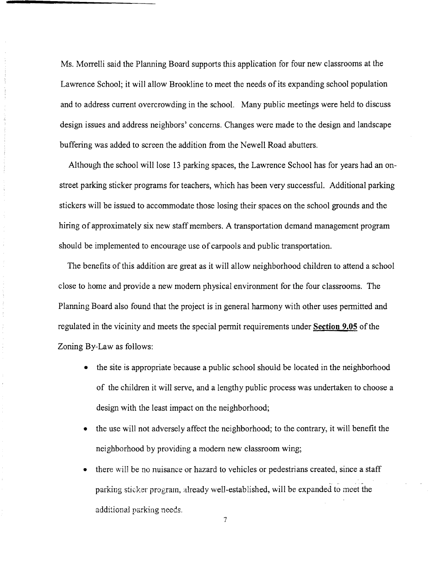Ms. Morrelli said the Planning Board supports this application for four new classrooms at the Lawrence School; it will allow Brookline to meet the needs of its expanding school population and to address current overcrowding in the school. Many public meetings were held to discuss design issues and address neighbors' concerns. Changes were made to the design and landscape buffering was added to screen the addition from the Newell Road abutters.

Although the school will lose 13 parking spaces, the Lawrence School has for years had an onstreet parking sticker programs for teachers, which has been very successful. Additional parking stickers will be issued to accommodate those losing their spaces on the school grounds and the hiring of approximately six new staff members. A transportation demand management program should be implemented to encourage use of carpools and public transportation.

The benefits of this addition are great as it will allow neighborhood children to attend a school close to home and provide a new modem physical environment for the four classrooms. The Planning Board also found that the project is in general harmony with other uses permitted and regulated in the vicinity and meets the special permit requirements under **Section 9.05** of the Zoning By-Law as follows:

- the site is appropriate because a public school should be located in the neighborhood of the children it will serve, and a lengthy public process was undertaken to choose a design with the least impact on the neighborhood;
- the use will not adversely affect the neighborhood; to the contrary, it will benefit the neighborhood by providing a modem new classroom wing;
- there will be no nuisance or hazard to vehicles or pedestrians created, since a staff parking sticker program, already well-established, will be expanded to meet the additional parking needs.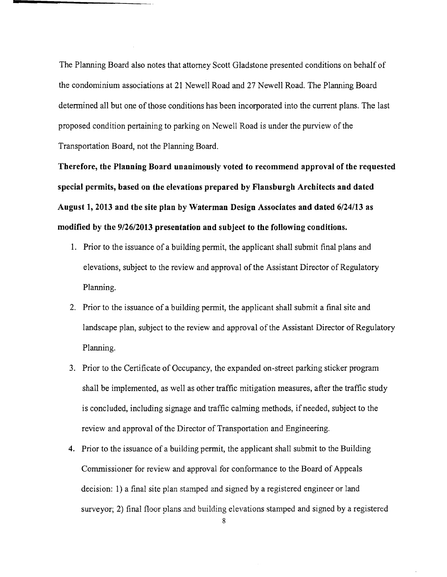The Planning Board also notes that attorney Scott Gladstone presented conditions on behalf of the condominium associations at 21 Newell Road and 27 Newell Road. The Planning Board determined all but one of those conditions has been incorporated into the current plans. The last proposed condition pertaining to parking on Newell Road is under the purview of the Transportation Board, not the Planning Board.

**Therefore, the Planning Board unanimously voted to recommend approval of the requested special permits, based on the elevations prepared by Flansburgh Architects and dated August 1, 2013 and the site plan by Waterman Design Associates and dated 6/24/13 as modified by the 9/26/2013 presentation and subject to the following conditions.** 

- 1. Prior to the issuance of a building permit, the applicant shall submit final plans and elevations, subject to the review and approval of the Assistant Director of Regulatory Planning.
- 2. Prior to the issuance of a building permit, the applicant shall submit a final site and landscape plan, subject to the review and approval of the Assistant Director of Regulatory Planning.
- 3. Prior to the Certificate of Occupancy, the expanded on-street parking sticker program shall be implemented, as well as other traffic mitigation measures, after the traffic study is concluded, including signage and traffic calming methods, if needed, subject to the review and approval of the Director of Transportation and Engineering.
- **4.** Prior to the issuance of a building permit, the applicant shall submit to the Building Commissioner for review and approval for conformance to the Board of Appeals decision: 1) a final site plan stamped and signed by a registered engineer or land surveyor; 2) final floor plans and building elevations stamped and signed by a registered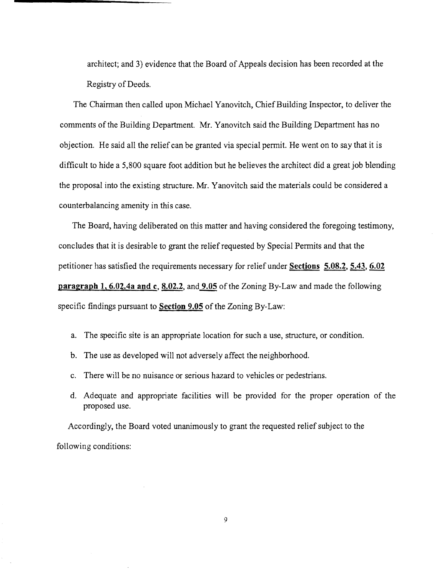architect; and 3) evidence that the Board of Appeals decision has been recorded at the Registry of Deeds.

The Chairman then called upon Michael Yanovitch, Chief Building Inspector, to deliver the comments of the Building Department. Mr. Yanovitch said the Building Department has no objection. He said all the relief can be granted via special pennit. He went on to say that it is difficult to hide a 5,800 square foot addition but he believes the architect did a great job blending the proposal into the existing structure. Mr. Yanovitch said the materials could be considered a counterbalancing amenity in this case.

The Board, having deliberated on this matter and having considered the foregoing testimony, concludes that it is desirable to grant the relief requested by Special Pennits and that the petitioner has satisfied the requirements necessary for relief under **Sections 5.08.2, 5.43, 6.02 paragraph 1, 6.02.4a and c, 8.02.2,** and  $\overline{9.05}$  of the Zoning By-Law and made the following specific findings pursuant to **Section 9.05** of the Zoning By-Law:

- a. The specific site is an appropriate location for such a use, structure, or condition.
- b. The use as developed will not adversely affect the neighborhood.
- c. There will be no nuisance or serious hazard to vehicles or pedestrians.
- d. Adequate and appropriate facilities will be provided for the proper operation of the proposed use.

Accordingly, the Board voted unanimously to grant the requested relief subject to the following conditions: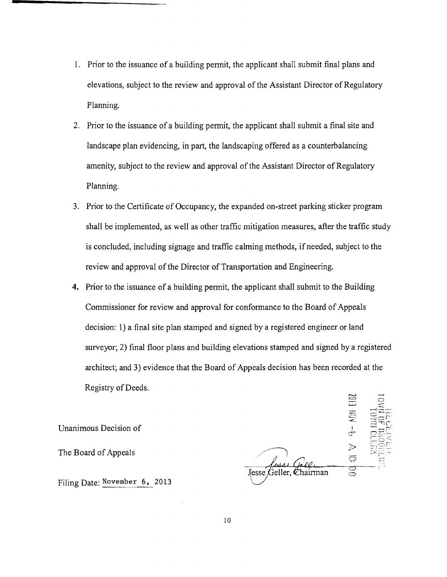- 1. Prior to the issuance of a building permit, the applicant shall submit final plans and elevations, subject to the review and approval of the Assistant Director of Regulatory Planning.
- 2. Prior to the issuance of a building permit, the applicant shall submit a final site and landscape plan evidencing, in part, the landscaping offered as a counterbalancing amenity, subject to the review and approval of the Assistant Director of Regulatory Planning.
- 3. Prior to the Certificate of Occupancy, the expanded on-street parking sticker program shall be implemented, as well as other traffic mitigation measures, after the traffic study is concluded, including signage and traffic calming methods, if needed, subject to the review and approval of the Director of Transportation and Engineering.
- **4.** Prior to the issuance of a building permit, the applicant shall submit to the Building Commissioner for review and approval for confonnance to the Board of Appeals decision: 1) a final site plan stamped and signed by a registered engineer or land surveyor; 2) final floor plans and building elevations stamped and signed by a registered architect; and 3) evidence that the Board of Appeals decision has been recorded at the Registry of Deeds.  $\Xi$   $\bar{c}$

Unanimous Decision of

 $\sigma$ The Board of Appeals  $\overline{a}$   $\overline{b}$   $\overline{c}$   $\overline{c}$   $\overline{c}$ Chairman Feller.

 $\overline{\phantom{m}}$ 

Filing Date: November 6, 2013